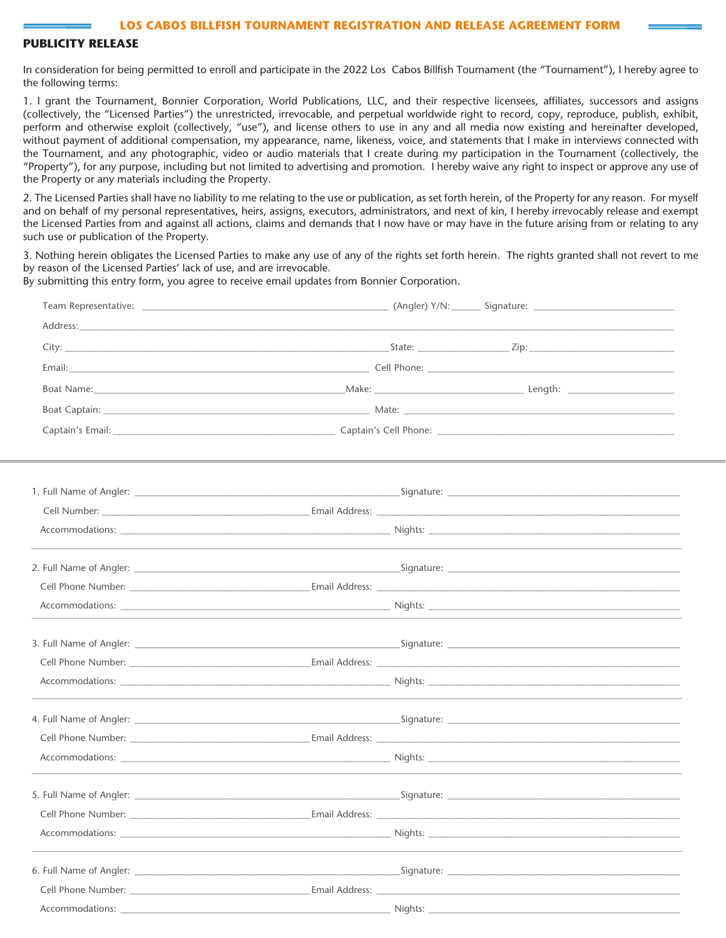# **PUBLICITY RELEASE**

In consideration for being permitted to enroll and participate in the 2022 Los Cabos Billfish Tournament (the "Tournament"), I hereby agree to the following terms:

1. I grant the Tournament, Bonnier Corporation, World Publications, LLC, and their respective licensees, affiliates, successors and assigns (collectively, the "Licensed Parties") the unrestricted, irrevocable, and perpetual worldwide right to record, copy, reproduce, publish, exhibit, perform and otherwise exploit (collectively, "use"), and license others to use in any and all media now existing and hereinafter developed, without payment of additional compensation, my appearance, name, likeness, voice, and statements that I make in interviews connected with the Tournament, and any photographic, video or audio materials that I create during my participation in the Tournament (collectively, the "Property"), for any purpose, including but not limited to advertising and promotion. I hereby waive any right to inspect or approve any use of the Property or any materials including the Property.

2. The Licensed Parties shall have no liability to me relating to the use or publication, as set forth herein, of the Property for any reason. For myself and on behalf of my personal representatives, heirs, assigns, executors, administrators, and next of kin, I hereby irrevocably release and exempt the Licensed Parties from and against all actions, claims and demands that I now have or may have in the future arising from or relating to any such use or publication of the Property.

3. Nothing herein obligates the Licensed Parties to make any use of any of the rights set forth herein. The rights granted shall not revert to me by reason of the Licensed Parties' lack of use, and are irrevocable.

By submitting this entry form, you agree to receive email updates from Bonnier Corporation.

|                                                                                                                | 1. Full Name of Angler: example and the set of the set of the set of the Signature: example and the set of the set of the set of the set of the set of the set of the set of the set of the set of the set of the set of the s |  |
|----------------------------------------------------------------------------------------------------------------|--------------------------------------------------------------------------------------------------------------------------------------------------------------------------------------------------------------------------------|--|
|                                                                                                                |                                                                                                                                                                                                                                |  |
|                                                                                                                |                                                                                                                                                                                                                                |  |
|                                                                                                                |                                                                                                                                                                                                                                |  |
|                                                                                                                |                                                                                                                                                                                                                                |  |
|                                                                                                                |                                                                                                                                                                                                                                |  |
|                                                                                                                |                                                                                                                                                                                                                                |  |
|                                                                                                                |                                                                                                                                                                                                                                |  |
|                                                                                                                |                                                                                                                                                                                                                                |  |
|                                                                                                                |                                                                                                                                                                                                                                |  |
|                                                                                                                |                                                                                                                                                                                                                                |  |
|                                                                                                                |                                                                                                                                                                                                                                |  |
|                                                                                                                |                                                                                                                                                                                                                                |  |
|                                                                                                                |                                                                                                                                                                                                                                |  |
| Accommodations:                                                                                                | Nights:                                                                                                                                                                                                                        |  |
|                                                                                                                |                                                                                                                                                                                                                                |  |
|                                                                                                                | Email Address: Lawrence and Security and Security and Security and Security and Security and Security and Security and Security and Security and Security and Security and Security and Security and Security and Security and |  |
| Accommodations: Accommodations: Accommodations: Accommodations: Accommodations: Accommodations: Accommodations |                                                                                                                                                                                                                                |  |